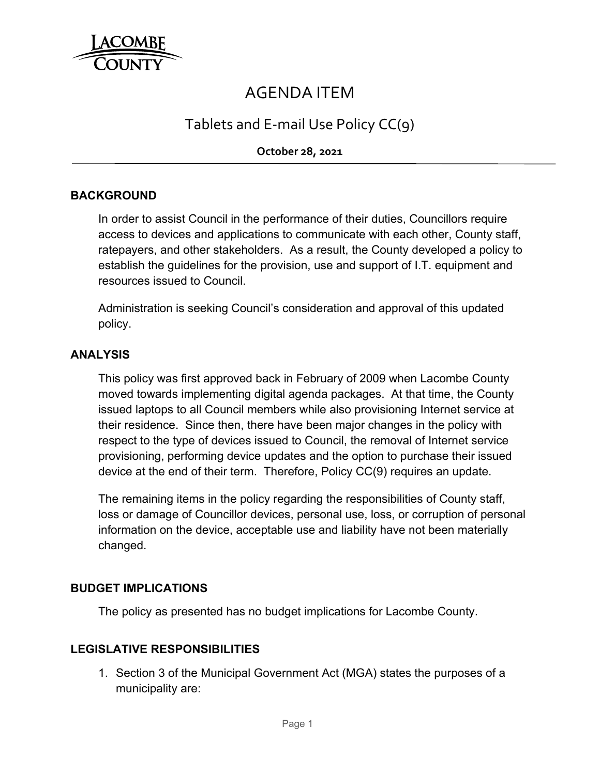

# AGENDA ITEM

## Tablets and E‐mail Use Policy CC(9)

**October 28, 2021**

### **BACKGROUND**

In order to assist Council in the performance of their duties, Councillors require access to devices and applications to communicate with each other, County staff, ratepayers, and other stakeholders. As a result, the County developed a policy to establish the guidelines for the provision, use and support of I.T. equipment and resources issued to Council.

Administration is seeking Council's consideration and approval of this updated policy.

#### **ANALYSIS**

This policy was first approved back in February of 2009 when Lacombe County moved towards implementing digital agenda packages. At that time, the County issued laptops to all Council members while also provisioning Internet service at their residence. Since then, there have been major changes in the policy with respect to the type of devices issued to Council, the removal of Internet service provisioning, performing device updates and the option to purchase their issued device at the end of their term. Therefore, Policy CC(9) requires an update.

The remaining items in the policy regarding the responsibilities of County staff, loss or damage of Councillor devices, personal use, loss, or corruption of personal information on the device, acceptable use and liability have not been materially changed.

#### **BUDGET IMPLICATIONS**

The policy as presented has no budget implications for Lacombe County.

#### **LEGISLATIVE RESPONSIBILITIES**

1. Section 3 of the Municipal Government Act (MGA) states the purposes of a municipality are: